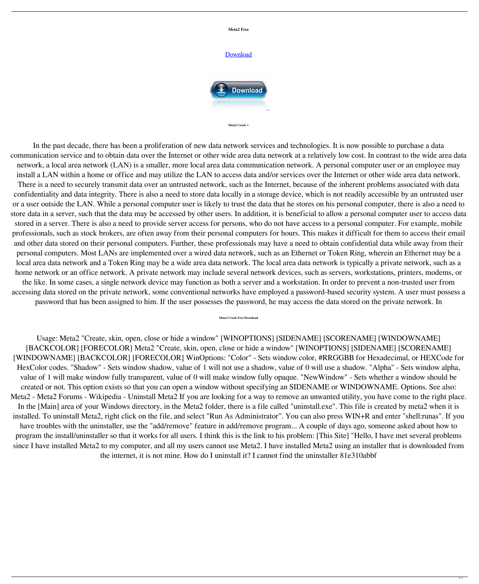

**Meta2 Crack +**

In the past decade, there has been a proliferation of new data network services and technologies. It is now possible to purchase a data communication service and to obtain data over the Internet or other wide area data network at a relatively low cost. In contrast to the wide area data network, a local area network (LAN) is a smaller, more local area data communication network. A personal computer user or an employee may install a LAN within a home or office and may utilize the LAN to access data and/or services over the Internet or other wide area data network. There is a need to securely transmit data over an untrusted network, such as the Internet, because of the inherent problems associated with data confidentiality and data integrity. There is also a need to store data locally in a storage device, which is not readily accessible by an untrusted user or a user outside the LAN. While a personal computer user is likely to trust the data that he stores on his personal computer, there is also a need to store data in a server, such that the data may be accessed by other users. In addition, it is beneficial to allow a personal computer user to access data stored in a server. There is also a need to provide server access for persons, who do not have access to a personal computer. For example, mobile professionals, such as stock brokers, are often away from their personal computers for hours. This makes it difficult for them to access their email and other data stored on their personal computers. Further, these professionals may have a need to obtain confidential data while away from their personal computers. Most LANs are implemented over a wired data network, such as an Ethernet or Token Ring, wherein an Ethernet may be a local area data network and a Token Ring may be a wide area data network. The local area data network is typically a private network, such as a home network or an office network. A private network may include several network devices, such as servers, workstations, printers, modems, or the like. In some cases, a single network device may function as both a server and a workstation. In order to prevent a non-trusted user from accessing data stored on the private network, some conventional networks have employed a password-based security system. A user must possess a password that has been assigned to him. If the user possesses the password, he may access the data stored on the private network. In

## **Meta2 Crack Free Download**

Usage: Meta2 "Create, skin, open, close or hide a window" [WINOPTIONS] [SIDENAME] [SCORENAME] [WINDOWNAME] [BACKCOLOR] [FORECOLOR] Meta2 "Create, skin, open, close or hide a window" [WINOPTIONS] [SIDENAME] [SCORENAME] [WINDOWNAME] [BACKCOLOR] [FORECOLOR] WinOptions: "Color" - Sets window color, #RRGGBB for Hexadecimal, or HEXCode for HexColor codes. "Shadow" - Sets window shadow, value of 1 will not use a shadow, value of 0 will use a shadow. "Alpha" - Sets window alpha, value of 1 will make window fully transparent, value of 0 will make window fully opaque. "NewWindow" - Sets whether a window should be created or not. This option exists so that you can open a window without specifying an SIDENAME or WINDOWNAME. Options. See also: Meta2 - Meta2 Forums - Wikipedia - Uninstall Meta2 If you are looking for a way to remove an unwanted utility, you have come to the right place. In the [Main] area of your Windows directory, in the Meta2 folder, there is a file called "uninstall.exe". This file is created by meta2 when it is installed. To uninstall Meta2, right click on the file, and select "Run As Administrator". You can also press WIN+R and enter "shell:runas". If you have troubles with the uninstaller, use the "add/remove" feature in add/remove program... A couple of days ago, someone asked about how to program the install/uninstaller so that it works for all users. I think this is the link to his problem: [This Site] "Hello, I have met several problems since I have installed Meta2 to my computer, and all my users cannot use Meta2. I have installed Meta2 using an installer that is downloaded from the internet, it is not mine. How do I uninstall it? I cannot find the uninstaller 81e310abbf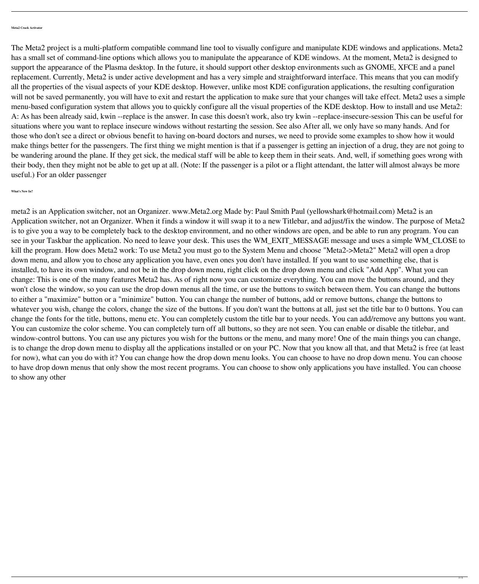**Meta2 Crack Activator**

The Meta2 project is a multi-platform compatible command line tool to visually configure and manipulate KDE windows and applications. Meta2 has a small set of command-line options which allows you to manipulate the appearance of KDE windows. At the moment, Meta2 is designed to support the appearance of the Plasma desktop. In the future, it should support other desktop environments such as GNOME, XFCE and a panel replacement. Currently, Meta2 is under active development and has a very simple and straightforward interface. This means that you can modify all the properties of the visual aspects of your KDE desktop. However, unlike most KDE configuration applications, the resulting configuration will not be saved permanently, you will have to exit and restart the application to make sure that your changes will take effect. Meta2 uses a simple menu-based configuration system that allows you to quickly configure all the visual properties of the KDE desktop. How to install and use Meta2: A: As has been already said, kwin --replace is the answer. In case this doesn't work, also try kwin --replace-insecure-session This can be useful for situations where you want to replace insecure windows without restarting the session. See also After all, we only have so many hands. And for those who don't see a direct or obvious benefit to having on-board doctors and nurses, we need to provide some examples to show how it would make things better for the passengers. The first thing we might mention is that if a passenger is getting an injection of a drug, they are not going to be wandering around the plane. If they get sick, the medical staff will be able to keep them in their seats. And, well, if something goes wrong with their body, then they might not be able to get up at all. (Note: If the passenger is a pilot or a flight attendant, the latter will almost always be more useful.) For an older passenger

**What's New In?**

meta2 is an Application switcher, not an Organizer. www.Meta2.org Made by: Paul Smith Paul (yellowshark@hotmail.com) Meta2 is an Application switcher, not an Organizer. When it finds a window it will swap it to a new Titlebar, and adjust/fix the window. The purpose of Meta2 is to give you a way to be completely back to the desktop environment, and no other windows are open, and be able to run any program. You can see in your Taskbar the application. No need to leave your desk. This uses the WM\_EXIT\_MESSAGE message and uses a simple WM\_CLOSE to kill the program. How does Meta2 work: To use Meta2 you must go to the System Menu and choose "Meta2->Meta2" Meta2 will open a drop down menu, and allow you to chose any application you have, even ones you don't have installed. If you want to use something else, that is installed, to have its own window, and not be in the drop down menu, right click on the drop down menu and click "Add App". What you can change: This is one of the many features Meta2 has. As of right now you can customize everything. You can move the buttons around, and they won't close the window, so you can use the drop down menus all the time, or use the buttons to switch between them. You can change the buttons to either a "maximize" button or a "minimize" button. You can change the number of buttons, add or remove buttons, change the buttons to whatever you wish, change the colors, change the size of the buttons. If you don't want the buttons at all, just set the title bar to 0 buttons. You can change the fonts for the title, buttons, menu etc. You can completely custom the title bar to your needs. You can add/remove any buttons you want. You can customize the color scheme. You can completely turn off all buttons, so they are not seen. You can enable or disable the titlebar, and window-control buttons. You can use any pictures you wish for the buttons or the menu, and many more! One of the main things you can change, is to change the drop down menu to display all the applications installed or on your PC. Now that you know all that, and that Meta2 is free (at least for now), what can you do with it? You can change how the drop down menu looks. You can choose to have no drop down menu. You can choose to have drop down menus that only show the most recent programs. You can choose to show only applications you have installed. You can choose to show any other